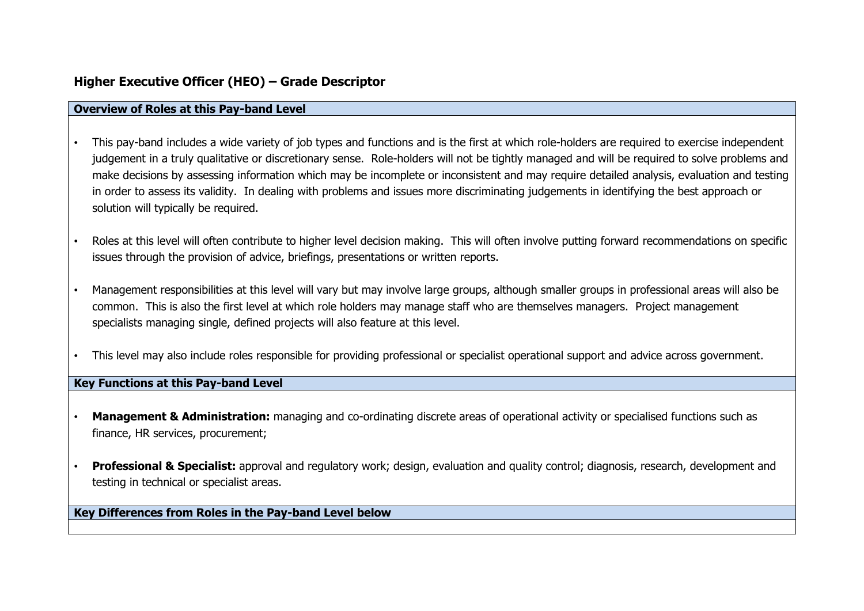# **Higher Executive Officer (HEO) – Grade Descriptor**

#### **Overview of Roles at this Pay-band Level**

- This pay-band includes a wide variety of job types and functions and is the first at which role-holders are required to exercise independent judgement in a truly qualitative or discretionary sense. Role-holders will not be tightly managed and will be required to solve problems and make decisions by assessing information which may be incomplete or inconsistent and may require detailed analysis, evaluation and testing in order to assess its validity. In dealing with problems and issues more discriminating judgements in identifying the best approach or solution will typically be required.
- Roles at this level will often contribute to higher level decision making. This will often involve putting forward recommendations on specific issues through the provision of advice, briefings, presentations or written reports.
- Management responsibilities at this level will vary but may involve large groups, although smaller groups in professional areas will also be common. This is also the first level at which role holders may manage staff who are themselves managers. Project management specialists managing single, defined projects will also feature at this level.
- This level may also include roles responsible for providing professional or specialist operational support and advice across government.

# **Key Functions at this Pay-band Level**

- **Management & Administration:** managing and co-ordinating discrete areas of operational activity or specialised functions such as finance, HR services, procurement;
- **Professional & Specialist:** approval and regulatory work; design, evaluation and quality control; diagnosis, research, development and testing in technical or specialist areas.

# **Key Differences from Roles in the Pay-band Level below**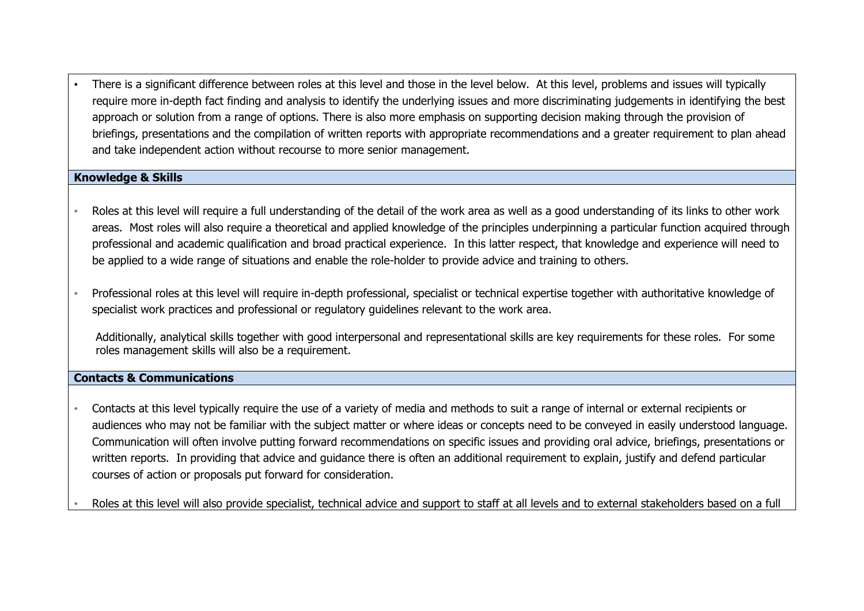• There is a significant difference between roles at this level and those in the level below. At this level, problems and issues will typically require more in-depth fact finding and analysis to identify the underlying issues and more discriminating judgements in identifying the best approach or solution from a range of options. There is also more emphasis on supporting decision making through the provision of briefings, presentations and the compilation of written reports with appropriate recommendations and a greater requirement to plan ahead and take independent action without recourse to more senior management.

# **Knowledge & Skills**

- Roles at this level will require a full understanding of the detail of the work area as well as a good understanding of its links to other work areas. Most roles will also require a theoretical and applied knowledge of the principles underpinning a particular function acquired through professional and academic qualification and broad practical experience. In this latter respect, that knowledge and experience will need to be applied to a wide range of situations and enable the role-holder to provide advice and training to others.
- Professional roles at this level will require in-depth professional, specialist or technical expertise together with authoritative knowledge of specialist work practices and professional or regulatory guidelines relevant to the work area.

Additionally, analytical skills together with good interpersonal and representational skills are key requirements for these roles. For some roles management skills will also be a requirement.

#### **Contacts & Communications**

• Contacts at this level typically require the use of a variety of media and methods to suit a range of internal or external recipients or audiences who may not be familiar with the subject matter or where ideas or concepts need to be conveyed in easily understood language. Communication will often involve putting forward recommendations on specific issues and providing oral advice, briefings, presentations or written reports. In providing that advice and guidance there is often an additional requirement to explain, justify and defend particular courses of action or proposals put forward for consideration.

• Roles at this level will also provide specialist, technical advice and support to staff at all levels and to external stakeholders based on a full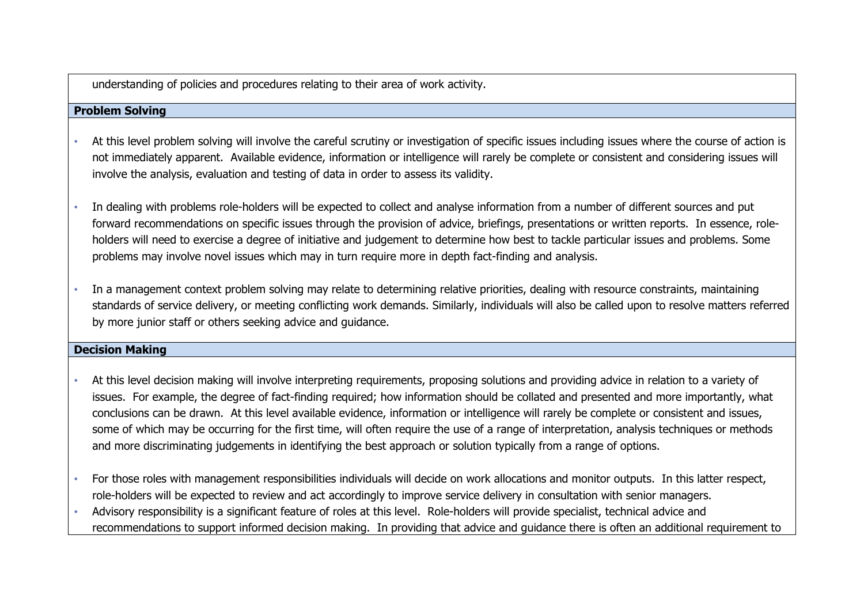understanding of policies and procedures relating to their area of work activity.

# **Problem Solving**

- At this level problem solving will involve the careful scrutiny or investigation of specific issues including issues where the course of action is not immediately apparent. Available evidence, information or intelligence will rarely be complete or consistent and considering issues will involve the analysis, evaluation and testing of data in order to assess its validity.
- In dealing with problems role-holders will be expected to collect and analyse information from a number of different sources and put forward recommendations on specific issues through the provision of advice, briefings, presentations or written reports. In essence, roleholders will need to exercise a degree of initiative and judgement to determine how best to tackle particular issues and problems. Some problems may involve novel issues which may in turn require more in depth fact-finding and analysis.
- In a management context problem solving may relate to determining relative priorities, dealing with resource constraints, maintaining standards of service delivery, or meeting conflicting work demands. Similarly, individuals will also be called upon to resolve matters referred by more junior staff or others seeking advice and guidance.

# **Decision Making**

- At this level decision making will involve interpreting requirements, proposing solutions and providing advice in relation to a variety of issues. For example, the degree of fact-finding required; how information should be collated and presented and more importantly, what conclusions can be drawn. At this level available evidence, information or intelligence will rarely be complete or consistent and issues, some of which may be occurring for the first time, will often require the use of a range of interpretation, analysis techniques or methods and more discriminating judgements in identifying the best approach or solution typically from a range of options.
- For those roles with management responsibilities individuals will decide on work allocations and monitor outputs. In this latter respect, role-holders will be expected to review and act accordingly to improve service delivery in consultation with senior managers.
- Advisory responsibility is a significant feature of roles at this level. Role-holders will provide specialist, technical advice and recommendations to support informed decision making. In providing that advice and guidance there is often an additional requirement to